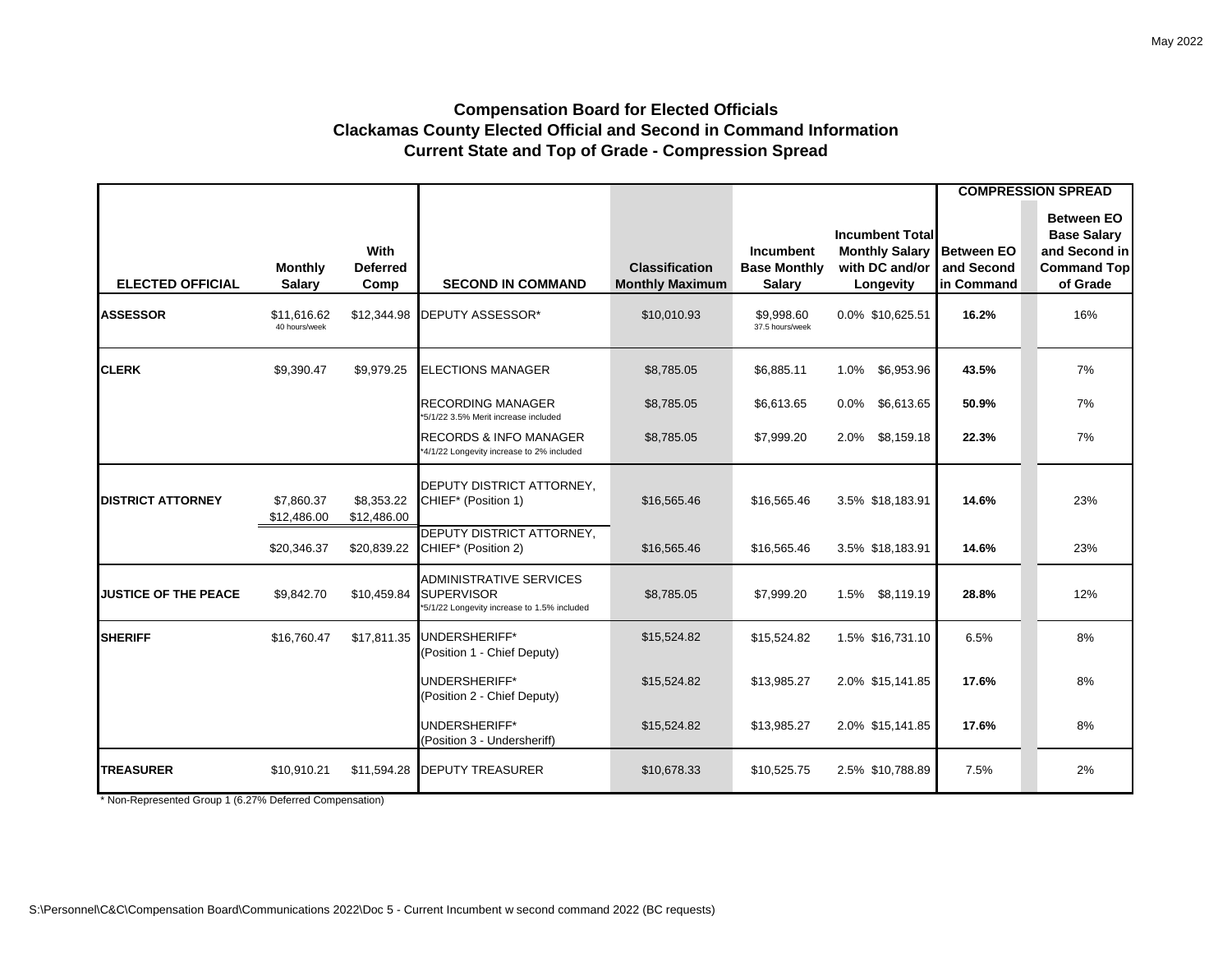## **Compensation Board for Elected Officials Clackamas County Elected Official and Second in Command Information Current State and Top of Grade - Compression Spread**

|                             |                                 |                                        |                                                                                                    |                                                 |                                                          |                                                                                |                                               | <b>COMPRESSION SPREAD</b>                                                                  |
|-----------------------------|---------------------------------|----------------------------------------|----------------------------------------------------------------------------------------------------|-------------------------------------------------|----------------------------------------------------------|--------------------------------------------------------------------------------|-----------------------------------------------|--------------------------------------------------------------------------------------------|
| <b>ELECTED OFFICIAL</b>     | <b>Monthly</b><br><b>Salary</b> | <b>With</b><br><b>Deferred</b><br>Comp | <b>SECOND IN COMMAND</b>                                                                           | <b>Classification</b><br><b>Monthly Maximum</b> | <b>Incumbent</b><br><b>Base Monthly</b><br><b>Salary</b> | <b>Incumbent Total</b><br><b>Monthly Salary</b><br>with DC and/or<br>Longevity | <b>Between EO</b><br>and Second<br>in Command | <b>Between EO</b><br><b>Base Salary</b><br>and Second in<br><b>Command Top</b><br>of Grade |
| <b>ASSESSOR</b>             | \$11,616.62<br>40 hours/week    | \$12,344.98                            | DEPUTY ASSESSOR*                                                                                   | \$10,010.93                                     | \$9,998.60<br>37.5 hours/week                            | 0.0% \$10,625.51                                                               | 16.2%                                         | 16%                                                                                        |
| <b>CLERK</b>                | \$9,390.47                      | \$9,979.25                             | <b>ELECTIONS MANAGER</b>                                                                           | \$8,785.05                                      | \$6,885.11                                               | \$6,953.96<br>1.0%                                                             | 43.5%                                         | 7%                                                                                         |
|                             |                                 |                                        | <b>RECORDING MANAGER</b><br>*5/1/22 3.5% Merit increase included                                   | \$8,785.05                                      | \$6,613.65                                               | \$6,613.65<br>$0.0\%$                                                          | 50.9%                                         | 7%                                                                                         |
|                             |                                 |                                        | <b>RECORDS &amp; INFO MANAGER</b><br>*4/1/22 Longevity increase to 2% included                     | \$8,785.05                                      | \$7,999.20                                               | \$8,159.18<br>2.0%                                                             | 22.3%                                         | 7%                                                                                         |
| <b>DISTRICT ATTORNEY</b>    | \$7,860.37<br>\$12,486.00       | \$8,353.22<br>\$12,486.00              | DEPUTY DISTRICT ATTORNEY,<br>CHIEF* (Position 1)                                                   | \$16,565.46                                     | \$16,565.46                                              | 3.5% \$18,183.91                                                               | 14.6%                                         | 23%                                                                                        |
|                             | \$20,346.37                     | \$20,839.22                            | <b>DEPUTY DISTRICT ATTORNEY,</b><br>CHIEF* (Position 2)                                            | \$16,565.46                                     | \$16,565.46                                              | 3.5% \$18,183.91                                                               | 14.6%                                         | 23%                                                                                        |
| <b>JUSTICE OF THE PEACE</b> | \$9,842.70                      | \$10,459.84                            | <b>ADMINISTRATIVE SERVICES</b><br><b>SUPERVISOR</b><br>*5/1/22 Longevity increase to 1.5% included | \$8,785.05                                      | \$7,999.20                                               | 1.5%<br>\$8,119.19                                                             | 28.8%                                         | 12%                                                                                        |
| <b>SHERIFF</b>              | \$16,760.47                     | \$17,811.35                            | UNDERSHERIFF*<br>(Position 1 - Chief Deputy)                                                       | \$15,524.82                                     | \$15,524.82                                              | 1.5% \$16,731.10                                                               | 6.5%                                          | 8%                                                                                         |
|                             |                                 |                                        | UNDERSHERIFF*<br>(Position 2 - Chief Deputy)                                                       | \$15,524.82                                     | \$13,985.27                                              | 2.0% \$15,141.85                                                               | 17.6%                                         | 8%                                                                                         |
|                             |                                 |                                        | UNDERSHERIFF*<br>(Position 3 - Undersheriff)                                                       | \$15,524.82                                     | \$13,985.27                                              | 2.0% \$15,141.85                                                               | 17.6%                                         | 8%                                                                                         |
| <b>TREASURER</b>            | \$10,910.21                     | \$11,594.28                            | <b>DEPUTY TREASURER</b>                                                                            | \$10,678.33                                     | \$10,525.75                                              | 2.5% \$10,788.89                                                               | 7.5%                                          | 2%                                                                                         |

\* Non-Represented Group 1 (6.27% Deferred Compensation)